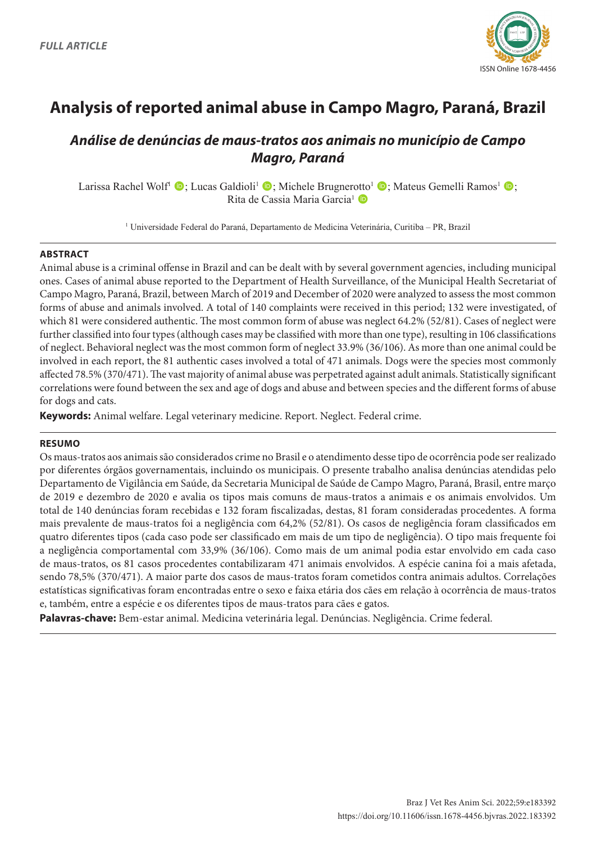

# **Analysis of reported animal abuse in Campo Magro, Paraná, Brazil**

# *Análise de denúncias de maus-tratos aos animais no município de Campo Magro, Paraná*

Larissa Rachel Wolf<sup>1</sup>  $\bullet$ ; Lucas Galdioli<sup>1</sup>  $\bullet$ ; Michele Brugnerotto<sup>1</sup>  $\bullet$ ; Mateus Gemelli Ramos<sup>1</sup>  $\bullet$ ; Rita de Cassia Maria Garcia<sup>1</sup> D

1 Universidade Federal do Paraná, Departamento de Medicina Veterinária, Curitiba – PR, Brazil

#### **ABSTRACT**

Animal abuse is a criminal offense in Brazil and can be dealt with by several government agencies, including municipal ones. Cases of animal abuse reported to the Department of Health Surveillance, of the Municipal Health Secretariat of Campo Magro, Paraná, Brazil, between March of 2019 and December of 2020 were analyzed to assess the most common forms of abuse and animals involved. A total of 140 complaints were received in this period; 132 were investigated, of which 81 were considered authentic. The most common form of abuse was neglect 64.2% (52/81). Cases of neglect were further classified into four types (although cases may be classified with more than one type), resulting in 106 classifications of neglect. Behavioral neglect was the most common form of neglect 33.9% (36/106). As more than one animal could be involved in each report, the 81 authentic cases involved a total of 471 animals. Dogs were the species most commonly affected 78.5% (370/471). The vast majority of animal abuse was perpetrated against adult animals. Statistically significant correlations were found between the sex and age of dogs and abuse and between species and the different forms of abuse for dogs and cats.

**Keywords:** Animal welfare. Legal veterinary medicine. Report. Neglect. Federal crime.

#### **RESUMO**

Os maus-tratos aos animais são considerados crime no Brasil e o atendimento desse tipo de ocorrência pode ser realizado por diferentes órgãos governamentais, incluindo os municipais. O presente trabalho analisa denúncias atendidas pelo Departamento de Vigilância em Saúde, da Secretaria Municipal de Saúde de Campo Magro, Paraná, Brasil, entre março de 2019 e dezembro de 2020 e avalia os tipos mais comuns de maus-tratos a animais e os animais envolvidos. Um total de 140 denúncias foram recebidas e 132 foram fiscalizadas, destas, 81 foram consideradas procedentes. A forma mais prevalente de maus-tratos foi a negligência com 64,2% (52/81). Os casos de negligência foram classificados em quatro diferentes tipos (cada caso pode ser classificado em mais de um tipo de negligência). O tipo mais frequente foi a negligência comportamental com 33,9% (36/106). Como mais de um animal podia estar envolvido em cada caso de maus-tratos, os 81 casos procedentes contabilizaram 471 animais envolvidos. A espécie canina foi a mais afetada, sendo 78,5% (370/471). A maior parte dos casos de maus-tratos foram cometidos contra animais adultos. Correlações estatísticas significativas foram encontradas entre o sexo e faixa etária dos cães em relação à ocorrência de maus-tratos e, também, entre a espécie e os diferentes tipos de maus-tratos para cães e gatos.

**Palavras-chave:** Bem-estar animal. Medicina veterinária legal. Denúncias. Negligência. Crime federal.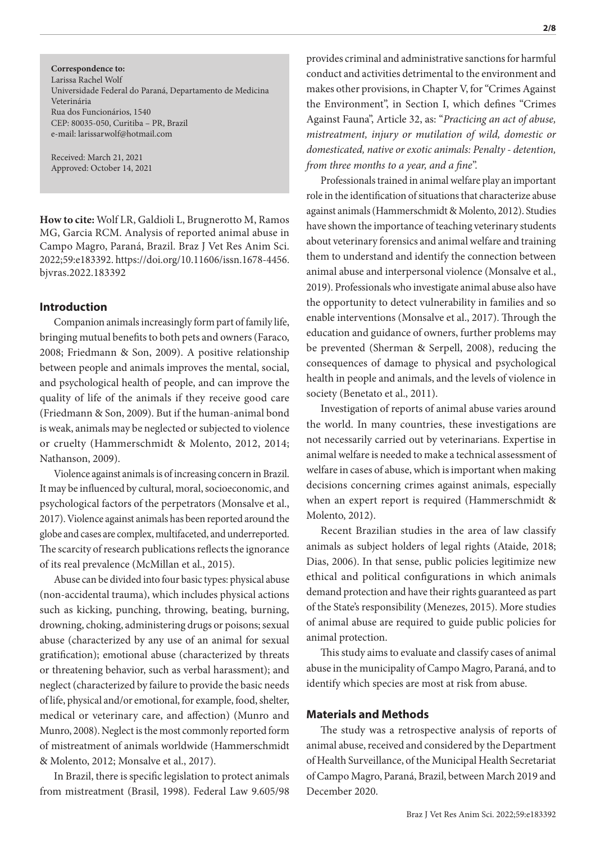**Correspondence to:** Larissa Rachel Wolf Universidade Federal do Paraná, Departamento de Medicina Veterinária Rua dos Funcionários, 1540 CEP: 80035-050, Curitiba – PR, Brazil e-mail: larissarwolf@hotmail.com

Received: March 21, 2021 Approved: October 14, 2021

**How to cite:** Wolf LR, Galdioli L, Brugnerotto M, Ramos MG, Garcia RCM. Analysis of reported animal abuse in Campo Magro, Paraná, Brazil. Braz J Vet Res Anim Sci. 2022;59:e183392. https://doi.org/10.11606/issn.1678-4456. bjvras.2022.183392

# **Introduction**

Companion animals increasingly form part of family life, bringing mutual benefits to both pets and owners (Faraco, 2008; Friedmann & Son, 2009). A positive relationship between people and animals improves the mental, social, and psychological health of people, and can improve the quality of life of the animals if they receive good care (Friedmann & Son, 2009). But if the human-animal bond is weak, animals may be neglected or subjected to violence or cruelty (Hammerschmidt & Molento, 2012, 2014; Nathanson, 2009).

Violence against animals is of increasing concern in Brazil. It may be influenced by cultural, moral, socioeconomic, and psychological factors of the perpetrators (Monsalve et al., 2017). Violence against animals has been reported around the globe and cases are complex, multifaceted, and underreported. The scarcity of research publications reflects the ignorance of its real prevalence (McMillan et al., 2015).

Abuse can be divided into four basic types: physical abuse (non-accidental trauma), which includes physical actions such as kicking, punching, throwing, beating, burning, drowning, choking, administering drugs or poisons; sexual abuse (characterized by any use of an animal for sexual gratification); emotional abuse (characterized by threats or threatening behavior, such as verbal harassment); and neglect (characterized by failure to provide the basic needs of life, physical and/or emotional, for example, food, shelter, medical or veterinary care, and affection) (Munro and Munro, 2008). Neglect is the most commonly reported form of mistreatment of animals worldwide (Hammerschmidt & Molento, 2012; Monsalve et al., 2017).

In Brazil, there is specific legislation to protect animals from mistreatment (Brasil, 1998). Federal Law 9.605/98 provides criminal and administrative sanctions for harmful conduct and activities detrimental to the environment and makes other provisions, in Chapter V, for "Crimes Against the Environment", in Section I, which defines "Crimes Against Fauna", Article 32, as: "*Practicing an act of abuse, mistreatment, injury or mutilation of wild, domestic or domesticated, native or exotic animals: Penalty - detention, from three months to a year, and a fine*".

Professionals trained in animal welfare play an important role in the identification of situations that characterize abuse against animals (Hammerschmidt & Molento, 2012). Studies have shown the importance of teaching veterinary students about veterinary forensics and animal welfare and training them to understand and identify the connection between animal abuse and interpersonal violence (Monsalve et al., 2019). Professionals who investigate animal abuse also have the opportunity to detect vulnerability in families and so enable interventions (Monsalve et al., 2017). Through the education and guidance of owners, further problems may be prevented (Sherman & Serpell, 2008), reducing the consequences of damage to physical and psychological health in people and animals, and the levels of violence in society (Benetato et al., 2011).

Investigation of reports of animal abuse varies around the world. In many countries, these investigations are not necessarily carried out by veterinarians. Expertise in animal welfare is needed to make a technical assessment of welfare in cases of abuse, which is important when making decisions concerning crimes against animals, especially when an expert report is required (Hammerschmidt & Molento, 2012).

Recent Brazilian studies in the area of law classify animals as subject holders of legal rights (Ataide, 2018; Dias, 2006). In that sense, public policies legitimize new ethical and political configurations in which animals demand protection and have their rights guaranteed as part of the State's responsibility (Menezes, 2015). More studies of animal abuse are required to guide public policies for animal protection.

This study aims to evaluate and classify cases of animal abuse in the municipality of Campo Magro, Paraná, and to identify which species are most at risk from abuse.

#### **Materials and Methods**

The study was a retrospective analysis of reports of animal abuse, received and considered by the Department of Health Surveillance, of the Municipal Health Secretariat of Campo Magro, Paraná, Brazil, between March 2019 and December 2020.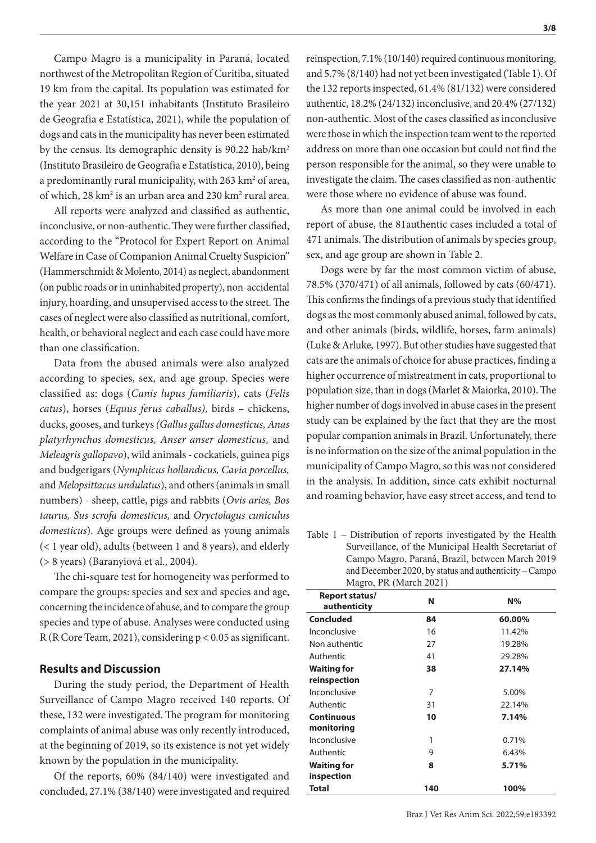Campo Magro is a municipality in Paraná, located northwest of the Metropolitan Region of Curitiba, situated 19 km from the capital. Its population was estimated for the year 2021 at 30,151 inhabitants (Instituto Brasileiro de Geografia e Estatística, 2021), while the population of dogs and cats in the municipality has never been estimated by the census. Its demographic density is 90.22 hab/km2 (Instituto Brasileiro de Geografia e Estatística, 2010), being a predominantly rural municipality, with 263 km<sup>2</sup> of area, of which, 28 km<sup>2</sup> is an urban area and 230 km<sup>2</sup> rural area.

All reports were analyzed and classified as authentic, inconclusive, or non-authentic. They were further classified, according to the "Protocol for Expert Report on Animal Welfare in Case of Companion Animal Cruelty Suspicion" (Hammerschmidt & Molento, 2014) as neglect, abandonment (on public roads or in uninhabited property), non-accidental injury, hoarding, and unsupervised access to the street. The cases of neglect were also classified as nutritional, comfort, health, or behavioral neglect and each case could have more than one classification.

Data from the abused animals were also analyzed according to species, sex, and age group. Species were classified as: dogs (*Canis lupus familiaris*), cats (*Felis catus*), horses (*Equus ferus caballus),* birds – chickens, ducks, gooses, and turkeys *(Gallus gallus domesticus, Anas platyrhynchos domesticus, Anser anser domesticus,* and *Meleagris gallopavo*), wild animals - cockatiels, guinea pigs and budgerigars (*Nymphicus hollandicus, Cavia porcellus,* and *Melopsittacus undulatus*), and others (animals in small numbers) - sheep, cattle, pigs and rabbits (*Ovis aries, Bos taurus, Sus scrofa domesticus,* and *Oryctolagus cuniculus domesticus*). Age groups were defined as young animals (< 1 year old), adults (between 1 and 8 years), and elderly (> 8 years) (Baranyiová et al., 2004).

The chi-square test for homogeneity was performed to compare the groups: species and sex and species and age, concerning the incidence of abuse, and to compare the group species and type of abuse. Analyses were conducted using R (R Core Team, 2021), considering p < 0.05 as significant.

#### **Results and Discussion**

During the study period, the Department of Health Surveillance of Campo Magro received 140 reports. Of these, 132 were investigated. The program for monitoring complaints of animal abuse was only recently introduced, at the beginning of 2019, so its existence is not yet widely known by the population in the municipality.

Of the reports, 60% (84/140) were investigated and concluded, 27.1% (38/140) were investigated and required reinspection, 7.1% (10/140) required continuous monitoring, and 5.7% (8/140) had not yet been investigated (Table 1). Of the 132 reports inspected, 61.4% (81/132) were considered authentic, 18.2% (24/132) inconclusive, and 20.4% (27/132) non-authentic. Most of the cases classified as inconclusive were those in which the inspection team went to the reported address on more than one occasion but could not find the person responsible for the animal, so they were unable to investigate the claim. The cases classified as non-authentic were those where no evidence of abuse was found.

As more than one animal could be involved in each report of abuse, the 81authentic cases included a total of 471 animals. The distribution of animals by species group, sex, and age group are shown in Table 2.

Dogs were by far the most common victim of abuse, 78.5% (370/471) of all animals, followed by cats (60/471). This confirms the findings of a previous study that identified dogs as the most commonly abused animal, followed by cats, and other animals (birds, wildlife, horses, farm animals) (Luke & Arluke, 1997). But other studies have suggested that cats are the animals of choice for abuse practices, finding a higher occurrence of mistreatment in cats, proportional to population size, than in dogs (Marlet & Maiorka, 2010). The higher number of dogs involved in abuse cases in the present study can be explained by the fact that they are the most popular companion animals in Brazil. Unfortunately, there is no information on the size of the animal population in the municipality of Campo Magro, so this was not considered in the analysis. In addition, since cats exhibit nocturnal and roaming behavior, have easy street access, and tend to

Table 1 – Distribution of reports investigated by the Health Surveillance, of the Municipal Health Secretariat of Campo Magro, Paraná, Brazil, between March 2019 and December 2020, by status and authenticity – Campo Magro, PR (March 2021)

| Report status/<br>authenticity   | N   | N%     |
|----------------------------------|-----|--------|
| <b>Concluded</b>                 | 84  | 60.00% |
| Inconclusive                     | 16  | 11.42% |
| Non authentic                    | 27  | 19.28% |
| Authentic                        | 41  | 29.28% |
| <b>Waiting for</b>               | 38  | 27.14% |
| reinspection                     |     |        |
| Inconclusive                     | 7   | 5.00%  |
| Authentic                        | 31  | 22.14% |
| <b>Continuous</b>                | 10  | 7.14%  |
| monitoring                       |     |        |
| Inconclusive                     | 1   | 0.71%  |
| Authentic                        | 9   | 6.43%  |
| <b>Waiting for</b><br>inspection | 8   | 5.71%  |
| <b>Total</b>                     | 140 | 100%   |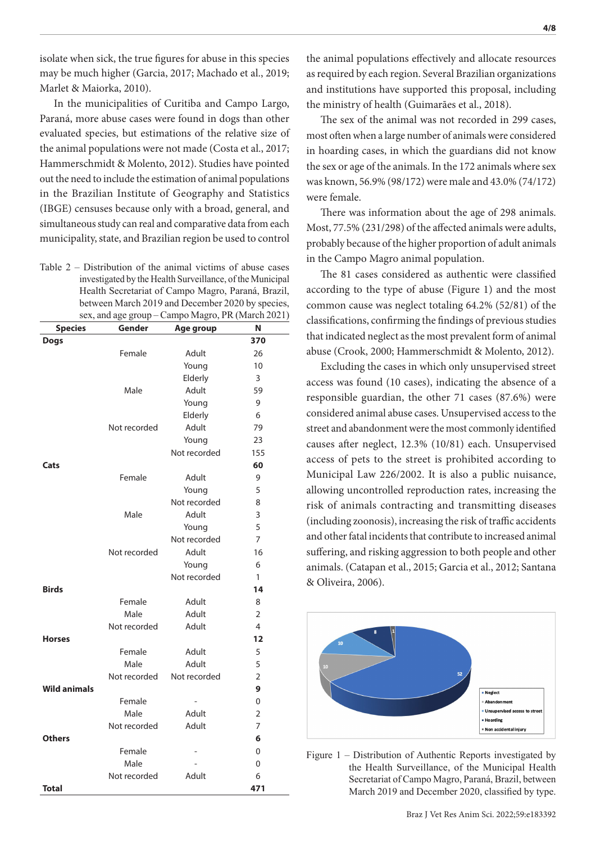isolate when sick, the true figures for abuse in this species may be much higher (Garcia, 2017; Machado et al., 2019; Marlet & Maiorka, 2010).

In the municipalities of Curitiba and Campo Largo, Paraná, more abuse cases were found in dogs than other evaluated species, but estimations of the relative size of the animal populations were not made (Costa et al., 2017; Hammerschmidt & Molento, 2012). Studies have pointed out the need to include the estimation of animal populations in the Brazilian Institute of Geography and Statistics (IBGE) censuses because only with a broad, general, and simultaneous study can real and comparative data from each municipality, state, and Brazilian region be used to control

Table 2 – Distribution of the animal victims of abuse cases investigated by the Health Surveillance, of the Municipal Health Secretariat of Campo Magro, Paraná, Brazil, between March 2019 and December 2020 by species, sex, and age group – Campo Magro, PR (March 2021)

| <b>Species</b>      | Gender       | Age group                | Ν              |
|---------------------|--------------|--------------------------|----------------|
| <b>Dogs</b>         |              |                          | 370            |
|                     | Female       | Adult                    | 26             |
|                     |              | Young                    | 10             |
|                     |              | Elderly                  | 3              |
|                     | Male         | Adult                    | 59             |
|                     |              | Young                    | 9              |
|                     |              | Elderly                  | 6              |
|                     | Not recorded | Adult                    | 79             |
|                     |              | Young                    | 23             |
|                     |              | Not recorded             | 155            |
| Cats                |              |                          | 60             |
|                     | Female       | Adult                    | 9              |
|                     |              | Young                    | 5              |
|                     |              | Not recorded             | 8              |
|                     | Male         | Adult                    | 3              |
|                     |              | Young                    | 5              |
|                     |              | Not recorded             | $\overline{7}$ |
|                     | Not recorded | Adult                    | 16             |
|                     |              | Young                    | 6              |
|                     |              | Not recorded             | 1              |
| <b>Birds</b>        |              |                          | 14             |
|                     | Female       | Adult                    | 8              |
|                     | Male         | Adult                    | $\overline{2}$ |
|                     | Not recorded | Adult                    | 4              |
| <b>Horses</b>       |              |                          | 12             |
|                     | Female       | Adult                    | 5              |
|                     | Male         | Adult                    | 5              |
|                     | Not recorded | Not recorded             | $\overline{2}$ |
| <b>Wild animals</b> |              |                          | 9              |
|                     | Female       | $\overline{a}$           | 0              |
|                     | Male         | Adult                    | $\overline{2}$ |
|                     | Not recorded | Adult                    | 7              |
| <b>Others</b>       |              |                          | 6              |
|                     | Female       | $\overline{\phantom{0}}$ | 0              |
|                     | Male         |                          | 0              |
|                     | Not recorded | Adult                    | 6              |
| <b>Total</b>        |              |                          | 471            |

the animal populations effectively and allocate resources as required by each region. Several Brazilian organizations and institutions have supported this proposal, including the ministry of health (Guimarães et al., 2018).

The sex of the animal was not recorded in 299 cases, most often when a large number of animals were considered in hoarding cases, in which the guardians did not know the sex or age of the animals. In the 172 animals where sex was known, 56.9% (98/172) were male and 43.0% (74/172) were female.

There was information about the age of 298 animals. Most, 77.5% (231/298) of the affected animals were adults, probably because of the higher proportion of adult animals in the Campo Magro animal population.

The 81 cases considered as authentic were classified according to the type of abuse (Figure 1) and the most common cause was neglect totaling 64.2% (52/81) of the classifications, confirming the findings of previous studies that indicated neglect as the most prevalent form of animal abuse (Crook, 2000; Hammerschmidt & Molento, 2012).

Excluding the cases in which only unsupervised street access was found (10 cases), indicating the absence of a responsible guardian, the other 71 cases (87.6%) were considered animal abuse cases. Unsupervised access to the street and abandonment were the most commonly identified causes after neglect, 12.3% (10/81) each. Unsupervised access of pets to the street is prohibited according to Municipal Law 226/2002. It is also a public nuisance, allowing uncontrolled reproduction rates, increasing the risk of animals contracting and transmitting diseases (including zoonosis), increasing the risk of traffic accidents and other fatal incidents that contribute to increased animal suffering, and risking aggression to both people and other animals. (Catapan et al., 2015; Garcia et al., 2012; Santana & Oliveira, 2006).



Figure 1 – Distribution of Authentic Reports investigated by the Health Surveillance, of the Municipal Health Secretariat of Campo Magro, Paraná, Brazil, between March 2019 and December 2020, classified by type.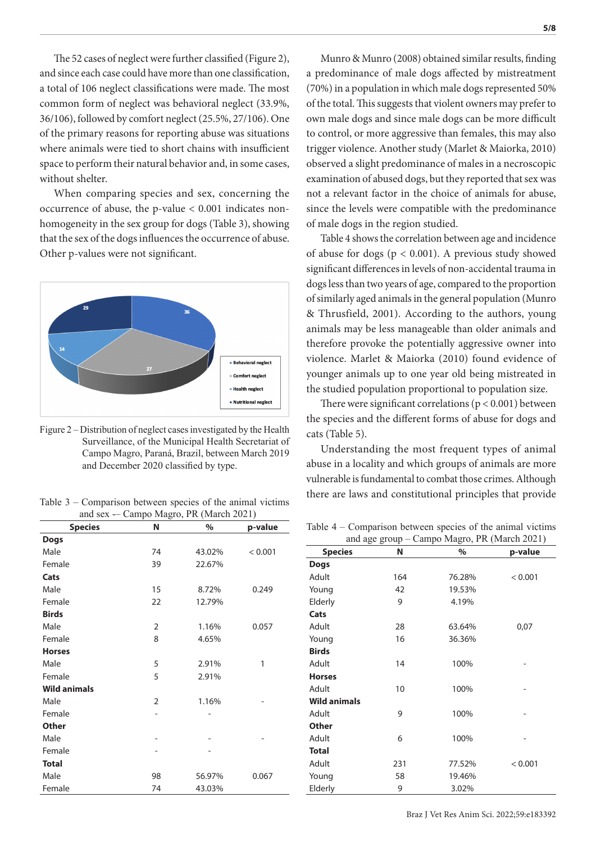The 52 cases of neglect were further classified (Figure 2), and since each case could have more than one classification, a total of 106 neglect classifications were made. The most common form of neglect was behavioral neglect (33.9%, 36/106), followed by comfort neglect (25.5%, 27/106). One of the primary reasons for reporting abuse was situations where animals were tied to short chains with insufficient space to perform their natural behavior and, in some cases, without shelter.

When comparing species and sex, concerning the occurrence of abuse, the p-value < 0.001 indicates nonhomogeneity in the sex group for dogs (Table 3), showing that the sex of the dogs influences the occurrence of abuse. Other p-values were not significant.



Figure 2 – Distribution of neglect cases investigated by the Health Surveillance, of the Municipal Health Secretariat of Campo Magro, Paraná, Brazil, between March 2019 and December 2020 classified by type.

and sex -– Campo Magro, PR (March 2021)

| <b>Species</b>      | N              | $\%$   | p-value |
|---------------------|----------------|--------|---------|
| <b>Dogs</b>         |                |        |         |
| Male                | 74             | 43.02% | < 0.001 |
| Female              | 39             | 22.67% |         |
| Cats                |                |        |         |
| Male                | 15             | 8.72%  | 0.249   |
| Female              | 22             | 12.79% |         |
| <b>Birds</b>        |                |        |         |
| Male                | 2              | 1.16%  | 0.057   |
| Female              | 8              | 4.65%  |         |
| <b>Horses</b>       |                |        |         |
| Male                | 5              | 2.91%  | 1       |
| Female              | 5              | 2.91%  |         |
| <b>Wild animals</b> |                |        |         |
| Male                | $\overline{2}$ | 1.16%  |         |
| Female              |                |        |         |
| <b>Other</b>        |                |        |         |
| Male                |                |        |         |
| Female              |                |        |         |
| <b>Total</b>        |                |        |         |
| Male                | 98             | 56.97% | 0.067   |
| Female              | 74             | 43.03% |         |

Munro & Munro (2008) obtained similar results, finding a predominance of male dogs affected by mistreatment (70%) in a population in which male dogs represented 50% of the total. This suggests that violent owners may prefer to own male dogs and since male dogs can be more difficult to control, or more aggressive than females, this may also trigger violence. Another study (Marlet & Maiorka, 2010) observed a slight predominance of males in a necroscopic examination of abused dogs, but they reported that sex was not a relevant factor in the choice of animals for abuse, since the levels were compatible with the predominance of male dogs in the region studied.

Table 4 shows the correlation between age and incidence of abuse for dogs (p < 0.001). A previous study showed significant differences in levels of non-accidental trauma in dogs less than two years of age, compared to the proportion of similarly aged animals in the general population (Munro & Thrusfield, 2001). According to the authors, young animals may be less manageable than older animals and therefore provoke the potentially aggressive owner into violence. Marlet & Maiorka (2010) found evidence of younger animals up to one year old being mistreated in the studied population proportional to population size.

There were significant correlations ( $p < 0.001$ ) between the species and the different forms of abuse for dogs and cats (Table 5).

Understanding the most frequent types of animal abuse in a locality and which groups of animals are more vulnerable is fundamental to combat those crimes. Although there are laws and constitutional principles that provide Table 3 – Comparison between species of the animal victims

Table 4 – Comparison between species of the animal victims and age group – Campo Magro, PR (March 2021)

| <b>Species</b>      | N   | $\%$              | p-value |  |
|---------------------|-----|-------------------|---------|--|
| Dogs                |     |                   |         |  |
| Adult               | 164 | 76.28%<br>< 0.001 |         |  |
| Young               | 42  | 19.53%            |         |  |
| Elderly             | 9   | 4.19%             |         |  |
| Cats                |     |                   |         |  |
| Adult               | 28  | 63.64%            | 0,07    |  |
| Young               | 16  | 36.36%            |         |  |
| <b>Birds</b>        |     |                   |         |  |
| Adult               | 14  | 100%              |         |  |
| <b>Horses</b>       |     |                   |         |  |
| Adult               | 10  | 100%              |         |  |
| <b>Wild animals</b> |     |                   |         |  |
| Adult               | 9   | 100%              |         |  |
| <b>Other</b>        |     |                   |         |  |
| Adult               | 6   | 100%              |         |  |
| <b>Total</b>        |     |                   |         |  |
| Adult               | 231 | 77.52%            | < 0.001 |  |
| Young               | 58  | 19.46%            |         |  |
| Elderly             | 9   | 3.02%             |         |  |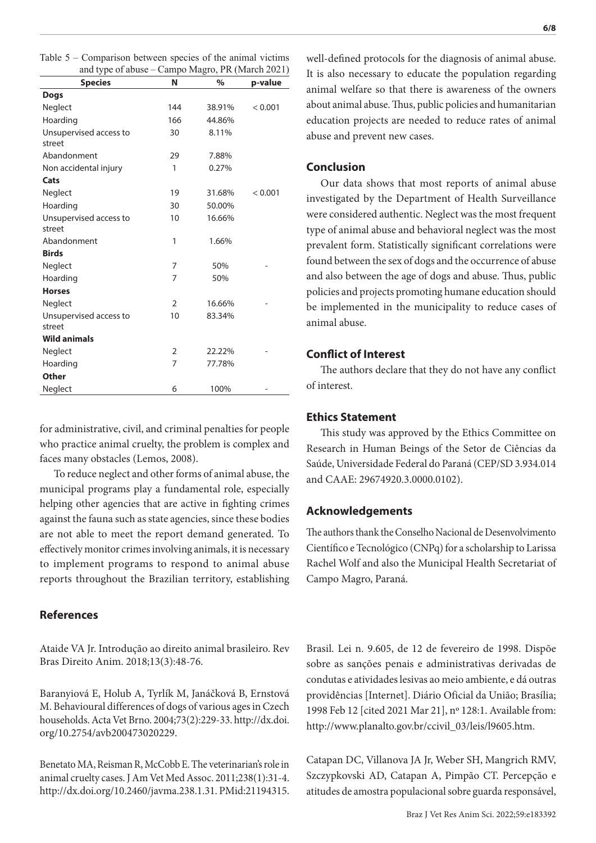| Table $5$ – Comparison between species of the animal victims |  |  |  |
|--------------------------------------------------------------|--|--|--|
| and type of abuse – Campo Magro, PR (March 2021)             |  |  |  |

| unu vjet vi uvuot      |                | $\sum_{i=1}^{n}$ |         |
|------------------------|----------------|------------------|---------|
| <b>Species</b>         | N              | $\%$             | p-value |
| <b>Dogs</b>            |                |                  |         |
| Neglect                | 144            | 38.91%           | < 0.001 |
| Hoarding               | 166            | 44.86%           |         |
| Unsupervised access to | 30             | 8.11%            |         |
| street                 |                |                  |         |
| Abandonment            | 29             | 7.88%            |         |
| Non accidental injury  | 1              | 0.27%            |         |
| Cats                   |                |                  |         |
| Neglect                | 19             | 31.68%           | < 0.001 |
| Hoarding               | 30             | 50.00%           |         |
| Unsupervised access to | 10             | 16.66%           |         |
| street                 |                |                  |         |
| Abandonment            | 1              | 1.66%            |         |
| <b>Birds</b>           |                |                  |         |
| Neglect                | 7              | 50%              |         |
| Hoarding               | 7              | 50%              |         |
| <b>Horses</b>          |                |                  |         |
| Neglect                | $\overline{2}$ | 16.66%           |         |
| Unsupervised access to | 10             | 83.34%           |         |
| street                 |                |                  |         |
| <b>Wild animals</b>    |                |                  |         |
| Neglect                | $\overline{2}$ | 22.22%           |         |
| Hoarding               | 7              | 77.78%           |         |
| <b>Other</b>           |                |                  |         |
| Neglect                | 6              | 100%             |         |

for administrative, civil, and criminal penalties for people who practice animal cruelty, the problem is complex and faces many obstacles (Lemos, 2008).

To reduce neglect and other forms of animal abuse, the municipal programs play a fundamental role, especially helping other agencies that are active in fighting crimes against the fauna such as state agencies, since these bodies are not able to meet the report demand generated. To effectively monitor crimes involving animals, it is necessary to implement programs to respond to animal abuse reports throughout the Brazilian territory, establishing

# **References**

Ataide VA Jr. Introdução ao direito animal brasileiro. Rev Bras Direito Anim. 2018;13(3):48-76.

Baranyiová E, Holub A, Tyrlík M, Janáčková B, Ernstová M. Behavioural differences of dogs of various ages in Czech households. Acta Vet Brno. 2004;73(2):229-33. [http://dx.doi.](https://doi.org/10.2754/avb200473020229) [org/10.2754/avb200473020229.](https://doi.org/10.2754/avb200473020229)

Benetato MA, Reisman R, McCobb E. The veterinarian's role in animal cruelty cases. J Am Vet Med Assoc. 2011;238(1):31-4. [http://dx.doi.org/10.2460/javma.238.1.31.](https://doi.org/10.2460/javma.238.1.31) [PMid:21194315.](https://www.ncbi.nlm.nih.gov/entrez/query.fcgi?cmd=Retrieve&db=PubMed&list_uids=21194315&dopt=Abstract)

well-defined protocols for the diagnosis of animal abuse. It is also necessary to educate the population regarding animal welfare so that there is awareness of the owners about animal abuse. Thus, public policies and humanitarian education projects are needed to reduce rates of animal abuse and prevent new cases.

# **Conclusion**

Our data shows that most reports of animal abuse investigated by the Department of Health Surveillance were considered authentic. Neglect was the most frequent type of animal abuse and behavioral neglect was the most prevalent form. Statistically significant correlations were found between the sex of dogs and the occurrence of abuse and also between the age of dogs and abuse. Thus, public policies and projects promoting humane education should be implemented in the municipality to reduce cases of animal abuse.

# **Conflict of Interest**

The authors declare that they do not have any conflict of interest.

# **Ethics Statement**

This study was approved by the Ethics Committee on Research in Human Beings of the Setor de Ciências da Saúde, Universidade Federal do Paraná (CEP/SD 3.934.014 and CAAE: 29674920.3.0000.0102).

## **Acknowledgements**

The authors thank the Conselho Nacional de Desenvolvimento Científico e Tecnológico (CNPq) for a scholarship to Larissa Rachel Wolf and also the Municipal Health Secretariat of Campo Magro, Paraná.

Brasil. Lei n. 9.605, de 12 de fevereiro de 1998. Dispõe sobre as sanções penais e administrativas derivadas de condutas e atividades lesivas ao meio ambiente, e dá outras providências [Internet]. Diário Oficial da União; Brasília; 1998 Feb 12 [cited 2021 Mar 21], nº 128:1. Available from: http://www.planalto.gov.br/ccivil\_03/leis/l9605.htm.

Catapan DC, Villanova JA Jr, Weber SH, Mangrich RMV, Szczypkovski AD, Catapan A, Pimpão CT. Percepção e atitudes de amostra populacional sobre guarda responsável,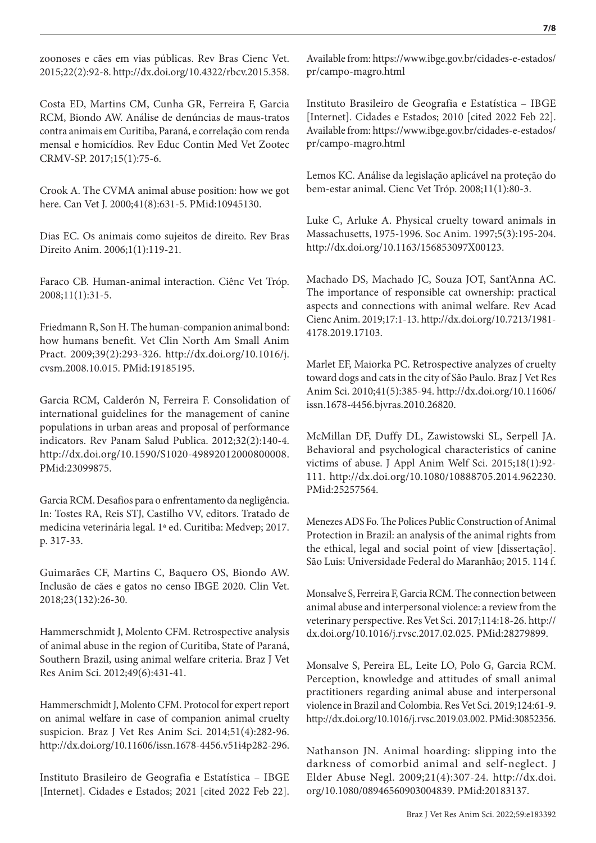zoonoses e cães em vias públicas. Rev Bras Cienc Vet. 2015;22(2):92-8. [http://dx.doi.org/10.4322/rbcv.2015.358.](https://doi.org/10.4322/rbcv.2015.358)

Costa ED, Martins CM, Cunha GR, Ferreira F, Garcia RCM, Biondo AW. Análise de denúncias de maus-tratos contra animais em Curitiba, Paraná, e correlação com renda mensal e homicídios. Rev Educ Contin Med Vet Zootec CRMV-SP. 2017;15(1):75-6.

Crook A. The CVMA animal abuse position: how we got here. Can Vet J. 2000;41(8):631-5. [PMid:10945130.](https://www.ncbi.nlm.nih.gov/entrez/query.fcgi?cmd=Retrieve&db=PubMed&list_uids=10945130&dopt=Abstract)

Dias EC. Os animais como sujeitos de direito. Rev Bras Direito Anim. 2006;1(1):119-21.

Faraco CB. Human-animal interaction. Ciênc Vet Tróp. 2008;11(1):31-5.

Friedmann R, Son H. The human-companion animal bond: how humans benefit. Vet Clin North Am Small Anim Pract. 2009;39(2):293-326. [http://dx.doi.org/10.1016/j.](https://doi.org/10.1016/j.cvsm.2008.10.015) [cvsm.2008.10.015.](https://doi.org/10.1016/j.cvsm.2008.10.015) [PMid:19185195.](https://www.ncbi.nlm.nih.gov/entrez/query.fcgi?cmd=Retrieve&db=PubMed&list_uids=19185195&dopt=Abstract)

Garcia RCM, Calderón N, Ferreira F. Consolidation of international guidelines for the management of canine populations in urban areas and proposal of performance indicators. Rev Panam Salud Publica. 2012;32(2):140-4. [http://dx.doi.org/10.1590/S1020-49892012000800008.](https://doi.org/10.1590/S1020-49892012000800008) [PMid:23099875.](https://www.ncbi.nlm.nih.gov/entrez/query.fcgi?cmd=Retrieve&db=PubMed&list_uids=23099875&dopt=Abstract)

Garcia RCM. Desafios para o enfrentamento da negligência. In: Tostes RA, Reis STJ, Castilho VV, editors. Tratado de medicina veterinária legal. 1ª ed. Curitiba: Medvep; 2017. p. 317-33.

Guimarães CF, Martins C, Baquero OS, Biondo AW. Inclusão de cães e gatos no censo IBGE 2020. Clin Vet. 2018;23(132):26-30.

Hammerschmidt J, Molento CFM. Retrospective analysis of animal abuse in the region of Curitiba, State of Paraná, Southern Brazil, using animal welfare criteria. Braz J Vet Res Anim Sci. 2012;49(6):431-41.

Hammerschmidt J, Molento CFM. Protocol for expert report on animal welfare in case of companion animal cruelty suspicion. Braz J Vet Res Anim Sci. 2014;51(4):282-96. [http://dx.doi.org/10.11606/issn.1678-4456.v51i4p282-296.](https://doi.org/10.11606/issn.1678-4456.v51i4p282-296)

Instituto Brasileiro de Geografia e Estatística – IBGE [Internet]. Cidades e Estados; 2021 [cited 2022 Feb 22].

Available from: https://www.ibge.gov.br/cidades-e-estados/ pr/campo-magro.html

Instituto Brasileiro de Geografia e Estatística – IBGE [Internet]. Cidades e Estados; 2010 [cited 2022 Feb 22]. Available from: https://www.ibge.gov.br/cidades-e-estados/ pr/campo-magro.html

Lemos KC. Análise da legislação aplicável na proteção do bem-estar animal. Cienc Vet Tróp. 2008;11(1):80-3.

Luke C, Arluke A. Physical cruelty toward animals in Massachusetts, 1975-1996. Soc Anim. 1997;5(3):195-204. [http://dx.doi.org/10.1163/156853097X00123](https://doi.org/10.1163/156853097X00123).

Machado DS, Machado JC, Souza JOT, Sant'Anna AC. The importance of responsible cat ownership: practical aspects and connections with animal welfare. Rev Acad Cienc Anim. 2019;17:1-13. [http://dx.doi.org/10.7213/1981-](https://doi.org/10.7213/1981-4178.2019.17103) [4178.2019.17103.](https://doi.org/10.7213/1981-4178.2019.17103)

Marlet EF, Maiorka PC. Retrospective analyzes of cruelty toward dogs and cats in the city of São Paulo. Braz J Vet Res Anim Sci. 2010;41(5):385-94. [http://dx.doi.org/10.11606/](https://doi.org/10.11606/issn.1678-4456.bjvras.2010.26820) [issn.1678-4456.bjvras.2010.26820](https://doi.org/10.11606/issn.1678-4456.bjvras.2010.26820).

McMillan DF, Duffy DL, Zawistowski SL, Serpell JA. Behavioral and psychological characteristics of canine victims of abuse. J Appl Anim Welf Sci. 2015;18(1):92- 111. [http://dx.doi.org/10.1080/10888705.2014.962230](https://doi.org/10.1080/10888705.2014.962230). [PMid:25257564.](https://www.ncbi.nlm.nih.gov/entrez/query.fcgi?cmd=Retrieve&db=PubMed&list_uids=25257564&dopt=Abstract)

Menezes ADS Fo. The Polices Public Construction of Animal Protection in Brazil: an analysis of the animal rights from the ethical, legal and social point of view [dissertação]. São Luis: Universidade Federal do Maranhão; 2015. 114 f.

Monsalve S, Ferreira F, Garcia RCM. The connection between animal abuse and interpersonal violence: a review from the veterinary perspective. Res Vet Sci. 2017;114:18-26. [http://](https://doi.org/10.1016/j.rvsc.2017.02.025) [dx.doi.org/10.1016/j.rvsc.2017.02.025](https://doi.org/10.1016/j.rvsc.2017.02.025)[. PMid:28279899.](https://www.ncbi.nlm.nih.gov/entrez/query.fcgi?cmd=Retrieve&db=PubMed&list_uids=28279899&dopt=Abstract)

Monsalve S, Pereira EL, Leite LO, Polo G, Garcia RCM. Perception, knowledge and attitudes of small animal practitioners regarding animal abuse and interpersonal violence in Brazil and Colombia. Res Vet Sci. 2019;124:61-9. [http://dx.doi.org/10.1016/j.rvsc.2019.03.002.](https://doi.org/10.1016/j.rvsc.2019.03.002) [PMid:30852356.](https://www.ncbi.nlm.nih.gov/entrez/query.fcgi?cmd=Retrieve&db=PubMed&list_uids=30852356&dopt=Abstract)

Nathanson JN. Animal hoarding: slipping into the darkness of comorbid animal and self-neglect. J Elder Abuse Negl. 2009;21(4):307-24. [http://dx.doi.](https://doi.org/10.1080/08946560903004839) [org/10.1080/08946560903004839](https://doi.org/10.1080/08946560903004839)[. PMid:20183137.](https://www.ncbi.nlm.nih.gov/entrez/query.fcgi?cmd=Retrieve&db=PubMed&list_uids=20183137&dopt=Abstract)